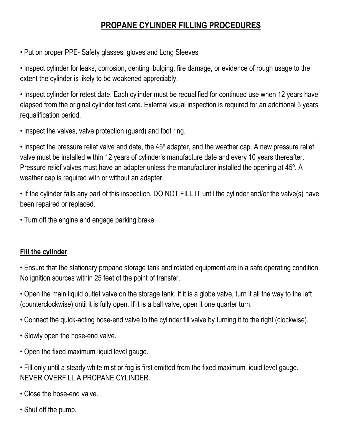## **PROPANE CYLINDER FILLING PROCEDURES**

• Put on proper PPE- Safety glasses, gloves and Long Sleeves

• Inspect cylinder for leaks, corrosion, denting, bulging, fire damage, or evidence of rough usage to the extent the cylinder is likely to be weakened appreciably.

• Inspect cylinder for retest date. Each cylinder must be requalified for continued use when 12 years have elapsed from the original cylinder test date. External visual inspection is required for an additional 5 years requalification period.

• Inspect the valves, valve protection (guard) and foot ring.

• Inspect the pressure relief valve and date, the 45º adapter, and the weather cap. A new pressure relief valve must be installed within 12 years of cylinder's manufacture date and every 10 years thereafter. Pressure relief valves must have an adapter unless the manufacturer installed the opening at 45º. A weather cap is required with or without an adapter.

• If the cylinder fails any part of this inspection, DO NOT FILL IT until the cylinder and/or the valve(s) have been repaired or replaced.

• Turn off the engine and engage parking brake.

## **Fill the cylinder**

• Ensure that the stationary propane storage tank and related equipment are in a safe operating condition. No ignition sources within 25 feet of the point of transfer.

• Open the main liquid outlet valve on the storage tank. If it is a globe valve, turn it all the way to the left (counterclockwise) until it is fully open. If it is a ball valve, open it one quarter turn.

• Connect the quick-acting hose-end valve to the cylinder fill valve by turning it to the right (clockwise).

- Slowly open the hose-end valve.
- Open the fixed maximum liquid level gauge.
- Fill only until a steady white mist or fog is first emitted from the fixed maximum liquid level gauge. NEVER OVERFILL A PROPANE CYLINDER.
- Close the hose-end valve.
- Shut off the pump.